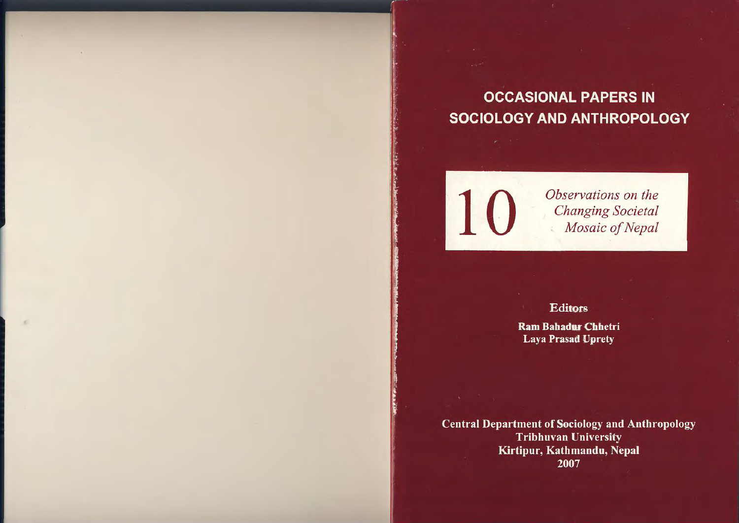**OCCASIONAL PAPERS IN** SOCIOLOGY AND ANTHROPOLOGY

10

Observations on the **Changing Societal** Mosaic of Nepal

**Editors** 

**Ram Bahadur Chhetri Laya Prasad Uprety** 

**Central Department of Sociology and Anthropology Tribhuvan University** Kirtipur, Kathmandu, Nepal 2007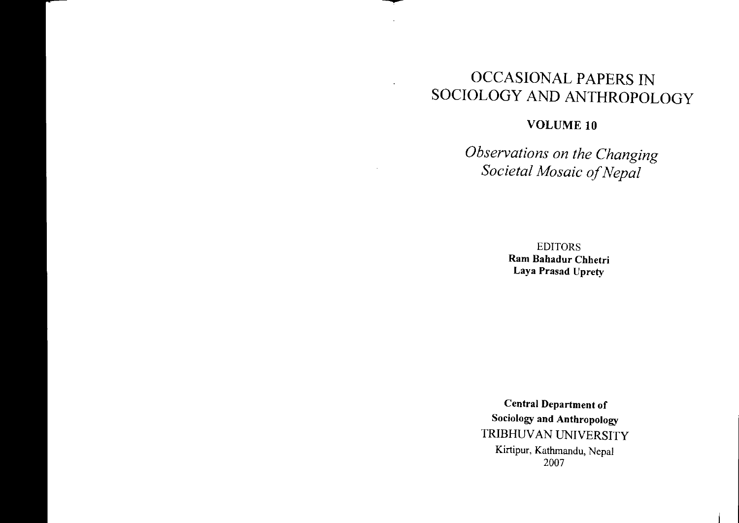# OCCASIONAL PAPERS INSOCIOLOGY AND ANTHROPOLOGY

 $\lambda$ 

 $\cdot$ 

### VOLUME **10**

*Observations on the Changing Societal Mosaic ofNepal*

> EDITORSRam Bahadur Chhetri Laya Prasad Uprety

Central Department of Sociology and Anthropology TRIBHUVAN UNIVERSITY Kirtipur, Kathmandu, Nepal 2007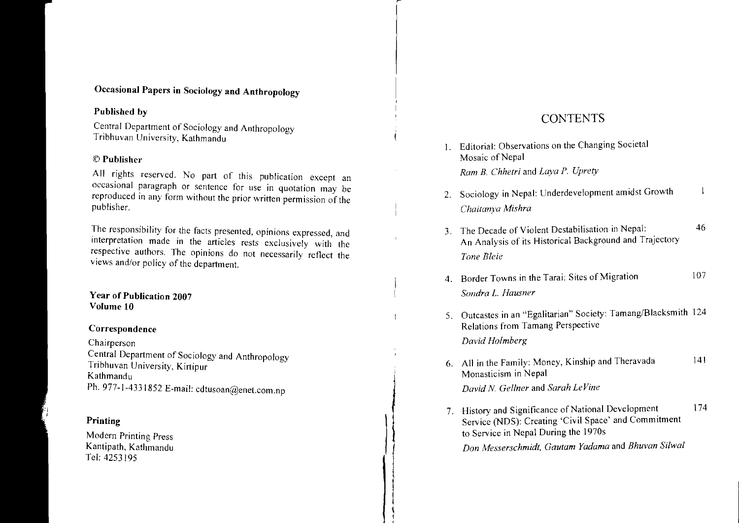## Occasional Papers in Sociology and Anthropology

#### Published by

Central Department of Sociology and Anthropology<br>Tribhuvan University, Kathmandu Tribhuvan University, Kathmandu

#### $\mathop{\mathbb{C}}$  Publisher

All rights reserved. No part of this publication except an occasional paragraph or sentence for use in quotation may be occasional paragraph or sentence for use in quotation may be reproduced in any form without the prior written permission of the publisher.

The responsibility for the facts presented, opinions expressed, and The responsibility for the facts presented, opinions expressed, and interpretation made in the articles rests exclusively with the respective authors. The opinions do not necessarily reflect the s and/or policy of the department.

#### Year of Publication 2007Volume 10

#### Correspondence

Chairperson Central Department of Sociology and Anthropology<br>Tribhuvan University, Kirtinur Tribhuvan University, Kirtipur KathmanduPh. 977-1-4331852 E-mail: cdtusoan@enet.com.np

#### Printing

Modern Printing Press Kantipath, Kathmandu Tel: 4253195

# **CONTENTS**

1. Editorial: Observations on the Changing Societal Mosaic of Nepal *Ram B. Chhetri* and *Laya P. Uprety* 6. All in the Family: Money, Kinship and Theravada 14 Monasticism in Nepal 5. Outcastes in an "Egalitarian" Society: Tamang/Blacksmith 124 Relations from Tamang Perspective *David Holmberg* 461074. Border Towns in the Tarai: Sites of Migration *Sondra* L. *Hausner*3. The Decade of Violent Destabilisation in The Decade of Violent Destabilisation in Nepal:<br>An Analysis of its Historical Background and Trajectory *Tone Bleie*2. Sociology in Nepal: Underdevelopment amidst Growth *Chaitanya Mishra*

*David N. Gel/ner* and *Sarah Le Vine*

\( , 7. History and Significance of National Development 174<br>Service (NDS): Creating 'Civil Space' and Commitment (NOS): Creating 'Civil Space' and Commitment to Service in Nepal During the 1970s

*Don Messerschmidt, Gautam Yadama* and *Bhuvan Silwal*